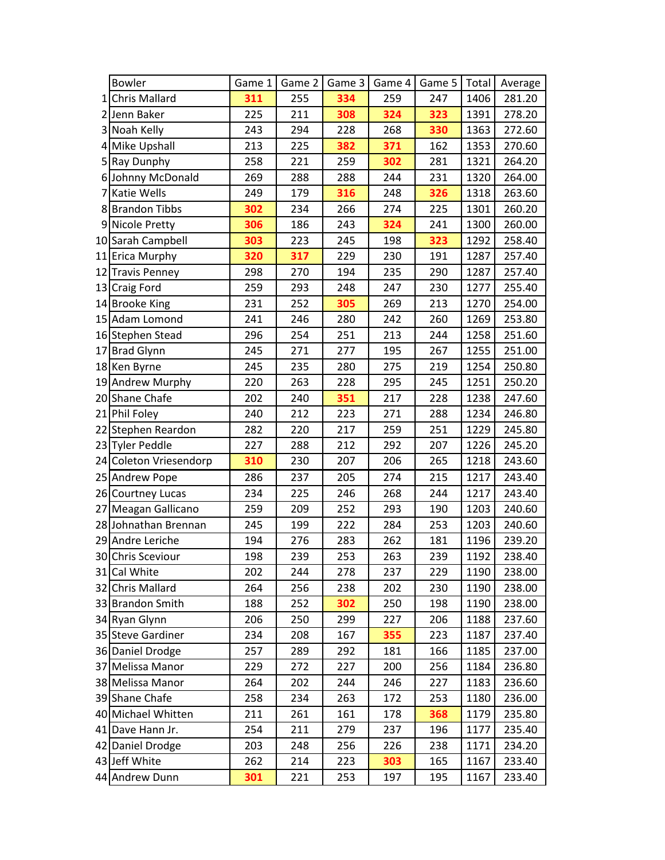|     | Bowler                 | Game 1 | Game 2 | Game 3 | Game 4 | Game 5 | Total | Average |
|-----|------------------------|--------|--------|--------|--------|--------|-------|---------|
| 1   | <b>Chris Mallard</b>   | 311    | 255    | 334    | 259    | 247    | 1406  | 281.20  |
| ا 2 | Jenn Baker             | 225    | 211    | 308    | 324    | 323    | 1391  | 278.20  |
|     | 3 Noah Kelly           | 243    | 294    | 228    | 268    | 330    | 1363  | 272.60  |
|     | 4 Mike Upshall         | 213    | 225    | 382    | 371    | 162    | 1353  | 270.60  |
|     | 5 Ray Dunphy           | 258    | 221    | 259    | 302    | 281    | 1321  | 264.20  |
|     | 6 Johnny McDonald      | 269    | 288    | 288    | 244    | 231    | 1320  | 264.00  |
| 7   | <b>Katie Wells</b>     | 249    | 179    | 316    | 248    | 326    | 1318  | 263.60  |
|     | 8 Brandon Tibbs        | 302    | 234    | 266    | 274    | 225    | 1301  | 260.20  |
|     | 9 Nicole Pretty        | 306    | 186    | 243    | 324    | 241    | 1300  | 260.00  |
|     | 10 Sarah Campbell      | 303    | 223    | 245    | 198    | 323    | 1292  | 258.40  |
|     | 11 Erica Murphy        | 320    | 317    | 229    | 230    | 191    | 1287  | 257.40  |
|     | 12 Travis Penney       | 298    | 270    | 194    | 235    | 290    | 1287  | 257.40  |
|     | 13 Craig Ford          | 259    | 293    | 248    | 247    | 230    | 1277  | 255.40  |
|     | 14 Brooke King         | 231    | 252    | 305    | 269    | 213    | 1270  | 254.00  |
|     | 15 Adam Lomond         | 241    | 246    | 280    | 242    | 260    | 1269  | 253.80  |
|     | 16 Stephen Stead       | 296    | 254    | 251    | 213    | 244    | 1258  | 251.60  |
|     | 17 Brad Glynn          | 245    | 271    | 277    | 195    | 267    | 1255  | 251.00  |
|     | 18 Ken Byrne           | 245    | 235    | 280    | 275    | 219    | 1254  | 250.80  |
|     | 19 Andrew Murphy       | 220    | 263    | 228    | 295    | 245    | 1251  | 250.20  |
|     | 20 Shane Chafe         | 202    | 240    | 351    | 217    | 228    | 1238  | 247.60  |
|     | 21 Phil Foley          | 240    | 212    | 223    | 271    | 288    | 1234  | 246.80  |
|     | 22 Stephen Reardon     | 282    | 220    | 217    | 259    | 251    | 1229  | 245.80  |
|     | 23 Tyler Peddle        | 227    | 288    | 212    | 292    | 207    | 1226  | 245.20  |
|     | 24 Coleton Vriesendorp | 310    | 230    | 207    | 206    | 265    | 1218  | 243.60  |
|     | 25 Andrew Pope         | 286    | 237    | 205    | 274    | 215    | 1217  | 243.40  |
|     | 26 Courtney Lucas      | 234    | 225    | 246    | 268    | 244    | 1217  | 243.40  |
|     | 27 Meagan Gallicano    | 259    | 209    | 252    | 293    | 190    | 1203  | 240.60  |
|     | 28 Johnathan Brennan   | 245    | 199    | 222    | 284    | 253    | 1203  | 240.60  |
|     | 29 Andre Leriche       | 194    | 276    | 283    | 262    | 181    | 1196  | 239.20  |
|     | 30 Chris Sceviour      | 198    | 239    | 253    | 263    | 239    | 1192  | 238.40  |
|     | 31 Cal White           | 202    | 244    | 278    | 237    | 229    | 1190  | 238.00  |
|     | 32 Chris Mallard       | 264    | 256    | 238    | 202    | 230    | 1190  | 238.00  |
|     | 33 Brandon Smith       | 188    | 252    | 302    | 250    | 198    | 1190  | 238.00  |
|     | 34 Ryan Glynn          | 206    | 250    | 299    | 227    | 206    | 1188  | 237.60  |
|     | 35 Steve Gardiner      | 234    | 208    | 167    | 355    | 223    | 1187  | 237.40  |
|     | 36 Daniel Drodge       | 257    | 289    | 292    | 181    | 166    | 1185  | 237.00  |
|     | 37 Melissa Manor       | 229    | 272    | 227    | 200    | 256    | 1184  | 236.80  |
|     | 38 Melissa Manor       | 264    | 202    | 244    | 246    | 227    | 1183  | 236.60  |
|     | 39 Shane Chafe         | 258    | 234    | 263    | 172    | 253    | 1180  | 236.00  |
|     | 40 Michael Whitten     | 211    | 261    | 161    | 178    | 368    | 1179  | 235.80  |
|     | 41 Dave Hann Jr.       | 254    | 211    | 279    | 237    | 196    | 1177  | 235.40  |
|     | 42 Daniel Drodge       | 203    | 248    | 256    | 226    | 238    | 1171  | 234.20  |
|     | 43 Jeff White          | 262    | 214    | 223    | 303    | 165    | 1167  | 233.40  |
|     | 44 Andrew Dunn         | 301    | 221    | 253    | 197    | 195    | 1167  | 233.40  |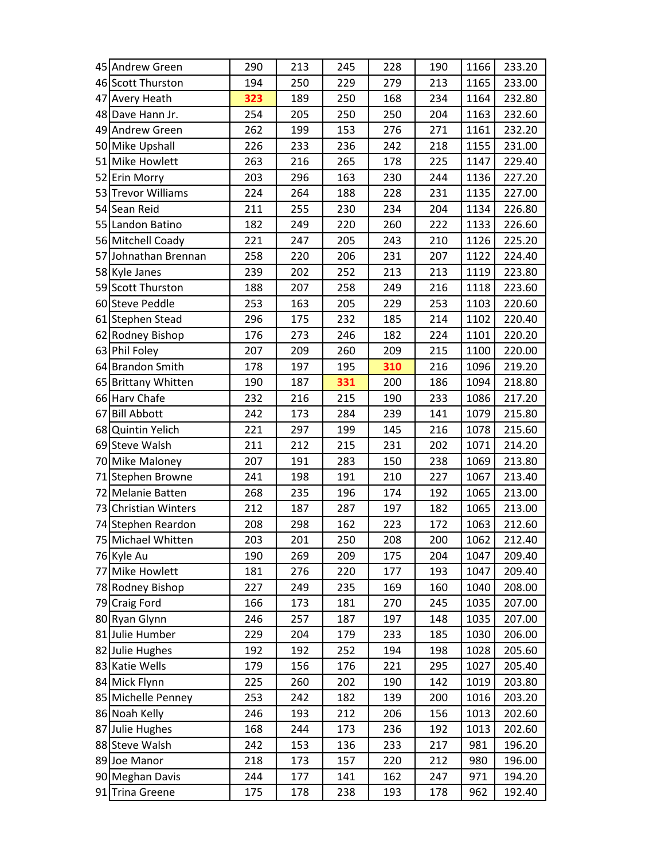| 45 Andrew Green      | 290 | 213 | 245 | 228 | 190 | 1166 | 233.20 |
|----------------------|-----|-----|-----|-----|-----|------|--------|
| 46 Scott Thurston    | 194 | 250 | 229 | 279 | 213 | 1165 | 233.00 |
| 47 Avery Heath       | 323 | 189 | 250 | 168 | 234 | 1164 | 232.80 |
| 48 Dave Hann Jr.     | 254 | 205 | 250 | 250 | 204 | 1163 | 232.60 |
| 49 Andrew Green      | 262 | 199 | 153 | 276 | 271 | 1161 | 232.20 |
| 50 Mike Upshall      | 226 | 233 | 236 | 242 | 218 | 1155 | 231.00 |
| 51 Mike Howlett      | 263 | 216 | 265 | 178 | 225 | 1147 | 229.40 |
| 52 Erin Morry        | 203 | 296 | 163 | 230 | 244 | 1136 | 227.20 |
| 53 Trevor Williams   | 224 | 264 | 188 | 228 | 231 | 1135 | 227.00 |
| 54 Sean Reid         | 211 | 255 | 230 | 234 | 204 | 1134 | 226.80 |
| 55 Landon Batino     | 182 | 249 | 220 | 260 | 222 | 1133 | 226.60 |
| 56 Mitchell Coady    | 221 | 247 | 205 | 243 | 210 | 1126 | 225.20 |
| 57 Johnathan Brennan | 258 | 220 | 206 | 231 | 207 | 1122 | 224.40 |
| 58 Kyle Janes        | 239 | 202 | 252 | 213 | 213 | 1119 | 223.80 |
| 59 Scott Thurston    | 188 | 207 | 258 | 249 | 216 | 1118 | 223.60 |
| 60 Steve Peddle      | 253 | 163 | 205 | 229 | 253 | 1103 | 220.60 |
| 61 Stephen Stead     | 296 | 175 | 232 | 185 | 214 | 1102 | 220.40 |
| 62 Rodney Bishop     | 176 | 273 | 246 | 182 | 224 | 1101 | 220.20 |
| 63 Phil Foley        | 207 | 209 | 260 | 209 | 215 | 1100 | 220.00 |
| 64 Brandon Smith     | 178 | 197 | 195 | 310 | 216 | 1096 | 219.20 |
| 65 Brittany Whitten  | 190 | 187 | 331 | 200 | 186 | 1094 | 218.80 |
| 66 Harv Chafe        | 232 | 216 | 215 | 190 | 233 | 1086 | 217.20 |
| 67 Bill Abbott       | 242 | 173 | 284 | 239 | 141 | 1079 | 215.80 |
| 68 Quintin Yelich    | 221 | 297 | 199 | 145 | 216 | 1078 | 215.60 |
| 69 Steve Walsh       | 211 | 212 | 215 | 231 | 202 | 1071 | 214.20 |
| 70 Mike Maloney      | 207 | 191 | 283 | 150 | 238 | 1069 | 213.80 |
| 71 Stephen Browne    | 241 | 198 | 191 | 210 | 227 | 1067 | 213.40 |
| 72 Melanie Batten    | 268 | 235 | 196 | 174 | 192 | 1065 | 213.00 |
| 73 Christian Winters | 212 | 187 | 287 | 197 | 182 | 1065 | 213.00 |
| 74 Stephen Reardon   | 208 | 298 | 162 | 223 | 172 | 1063 | 212.60 |
| 75 Michael Whitten   | 203 | 201 | 250 | 208 | 200 | 1062 | 212.40 |
| 76 Kyle Au           | 190 | 269 | 209 | 175 | 204 | 1047 | 209.40 |
| 77 Mike Howlett      | 181 | 276 | 220 | 177 | 193 | 1047 | 209.40 |
| 78 Rodney Bishop     | 227 | 249 | 235 | 169 | 160 | 1040 | 208.00 |
| 79 Craig Ford        | 166 | 173 | 181 | 270 | 245 | 1035 | 207.00 |
| 80 Ryan Glynn        | 246 | 257 | 187 | 197 | 148 | 1035 | 207.00 |
| 81 Julie Humber      | 229 | 204 | 179 | 233 | 185 | 1030 | 206.00 |
| 82 Julie Hughes      | 192 | 192 | 252 | 194 | 198 | 1028 | 205.60 |
| 83 Katie Wells       | 179 | 156 | 176 | 221 | 295 | 1027 | 205.40 |
| 84 Mick Flynn        | 225 | 260 | 202 | 190 | 142 | 1019 | 203.80 |
| 85 Michelle Penney   | 253 | 242 | 182 | 139 | 200 | 1016 | 203.20 |
| 86 Noah Kelly        | 246 | 193 | 212 | 206 | 156 | 1013 | 202.60 |
| 87 Julie Hughes      | 168 | 244 | 173 | 236 | 192 | 1013 | 202.60 |
| 88 Steve Walsh       | 242 | 153 | 136 | 233 | 217 | 981  | 196.20 |
| 89 Joe Manor         | 218 | 173 | 157 | 220 | 212 | 980  | 196.00 |
| 90 Meghan Davis      | 244 | 177 | 141 | 162 | 247 | 971  | 194.20 |
| 91 Trina Greene      | 175 | 178 | 238 | 193 | 178 | 962  | 192.40 |